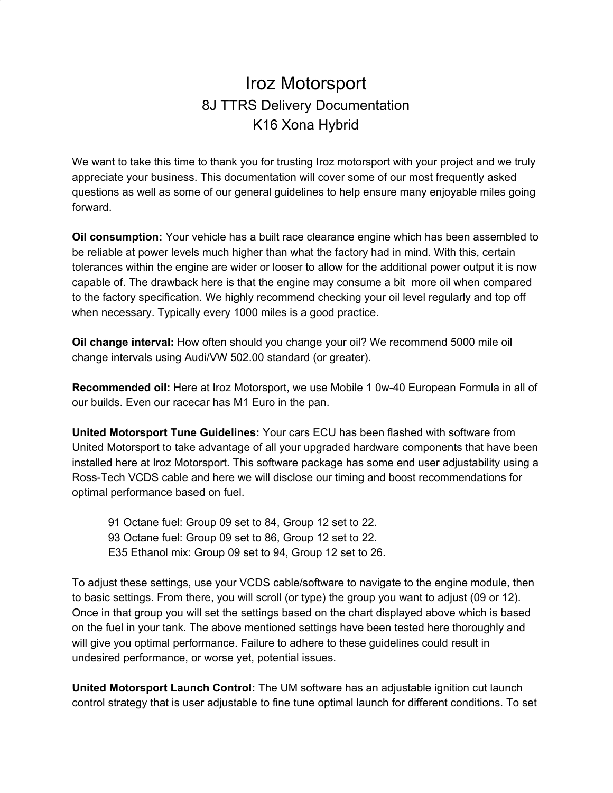## Iroz Motorsport 8J TTRS Delivery Documentation K16 Xona Hybrid

We want to take this time to thank you for trusting Iroz motorsport with your project and we truly appreciate your business. This documentation will cover some of our most frequently asked questions as well as some of our general guidelines to help ensure many enjoyable miles going forward.

**Oil consumption:** Your vehicle has a built race clearance engine which has been assembled to be reliable at power levels much higher than what the factory had in mind. With this, certain tolerances within the engine are wider or looser to allow for the additional power output it is now capable of. The drawback here is that the engine may consume a bit more oil when compared to the factory specification. We highly recommend checking your oil level regularly and top off when necessary. Typically every 1000 miles is a good practice.

**Oil change interval:** How often should you change your oil? We recommend 5000 mile oil change intervals using Audi/VW 502.00 standard (or greater).

**Recommended oil:** Here at Iroz Motorsport, we use Mobile 1 0w-40 European Formula in all of our builds. Even our racecar has M1 Euro in the pan.

**United Motorsport Tune Guidelines:** Your cars ECU has been flashed with software from United Motorsport to take advantage of all your upgraded hardware components that have been installed here at Iroz Motorsport. This software package has some end user adjustability using a Ross-Tech VCDS cable and here we will disclose our timing and boost recommendations for optimal performance based on fuel.

91 Octane fuel: Group 09 set to 84, Group 12 set to 22. 93 Octane fuel: Group 09 set to 86, Group 12 set to 22. E35 Ethanol mix: Group 09 set to 94, Group 12 set to 26.

To adjust these settings, use your VCDS cable/software to navigate to the engine module, then to basic settings. From there, you will scroll (or type) the group you want to adjust (09 or 12). Once in that group you will set the settings based on the chart displayed above which is based on the fuel in your tank. The above mentioned settings have been tested here thoroughly and will give you optimal performance. Failure to adhere to these guidelines could result in undesired performance, or worse yet, potential issues.

**United Motorsport Launch Control:** The UM software has an adjustable ignition cut launch control strategy that is user adjustable to fine tune optimal launch for different conditions. To set